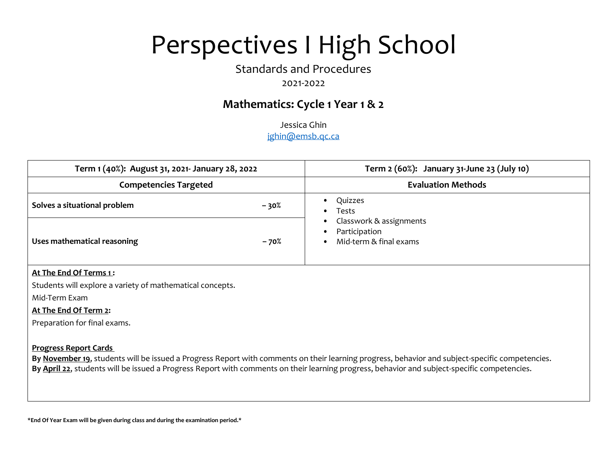# Standards and Procedures

## 2021-2022

# **Mathematics: Cycle 1 Year 1 & 2**

Jessica Ghin jghin@emsb.qc.ca

| Term 1 (40%): August 31, 2021- January 28, 2022           |        | Term 2 (60%): January 31-June 23 (July 10)                                                                                                                                                                                                                                                      |  |
|-----------------------------------------------------------|--------|-------------------------------------------------------------------------------------------------------------------------------------------------------------------------------------------------------------------------------------------------------------------------------------------------|--|
| <b>Competencies Targeted</b>                              |        | <b>Evaluation Methods</b>                                                                                                                                                                                                                                                                       |  |
| Solves a situational problem                              | - 30%  | Quizzes<br>$\bullet$<br>Tests<br>Classwork & assignments                                                                                                                                                                                                                                        |  |
| Uses mathematical reasoning                               | $-70%$ | Participation<br>Mid-term & final exams                                                                                                                                                                                                                                                         |  |
| At The End Of Terms 1:                                    |        |                                                                                                                                                                                                                                                                                                 |  |
| Students will explore a variety of mathematical concepts. |        |                                                                                                                                                                                                                                                                                                 |  |
| Mid-Term Exam                                             |        |                                                                                                                                                                                                                                                                                                 |  |
| At The End Of Term 2:                                     |        |                                                                                                                                                                                                                                                                                                 |  |
| Preparation for final exams.                              |        |                                                                                                                                                                                                                                                                                                 |  |
| <b>Progress Report Cards</b>                              |        | By November 19, students will be issued a Progress Report with comments on their learning progress, behavior and subject-specific competencies.<br>By April 22, students will be issued a Progress Report with comments on their learning progress, behavior and subject-specific competencies. |  |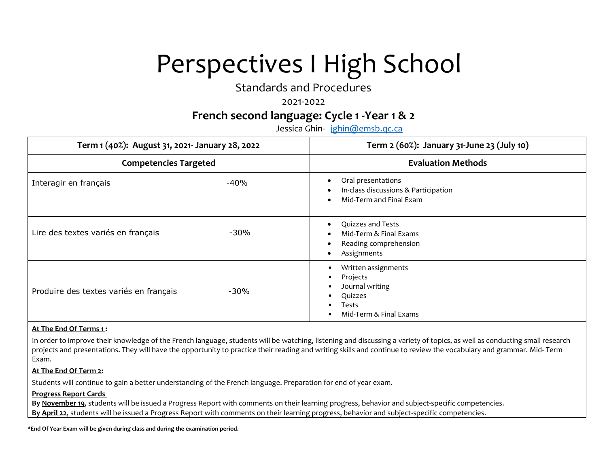Standards and Procedures

### 2021-2022

## **French second language: Cycle 1 -Year 1 & 2**

Jessica Ghin- jghin@emsb.qc.ca

| Term 1 (40%): August 31, 2021- January 28, 2022 |        | Term 2 (60%): January 31-June 23 (July 10)                                                                           |  |
|-------------------------------------------------|--------|----------------------------------------------------------------------------------------------------------------------|--|
| <b>Competencies Targeted</b>                    |        | <b>Evaluation Methods</b>                                                                                            |  |
| Interagir en français                           | $-40%$ | Oral presentations<br>In-class discussions & Participation<br>Mid-Term and Final Exam                                |  |
| Lire des textes variés en français              | $-30%$ | Quizzes and Tests<br>$\bullet$<br>Mid-Term & Final Exams<br>Reading comprehension<br>Assignments<br>$\bullet$        |  |
| Produire des textes variés en français          | $-30%$ | Written assignments<br>٠<br>Projects<br>٠<br>Journal writing<br>٠<br>Quizzes<br>٠<br>Tests<br>Mid-Term & Final Exams |  |

#### **At The End Of Terms 1 :**

In order to improve their knowledge of the French language, students will be watching, listening and discussing a variety of topics, as well as conducting small research projects and presentations. They will have the opportunity to practice their reading and writing skills and continue to review the vocabulary and grammar. Mid- Term Exam.

#### **At The End Of Term 2:**

Students will continue to gain a better understanding of the French language. Preparation for end of year exam.

#### **Progress Report Cards**

**By November 19**, students will be issued a Progress Report with comments on their learning progress, behavior and subject-specific competencies. **By April 22**, students will be issued a Progress Report with comments on their learning progress, behavior and subject-specific competencies.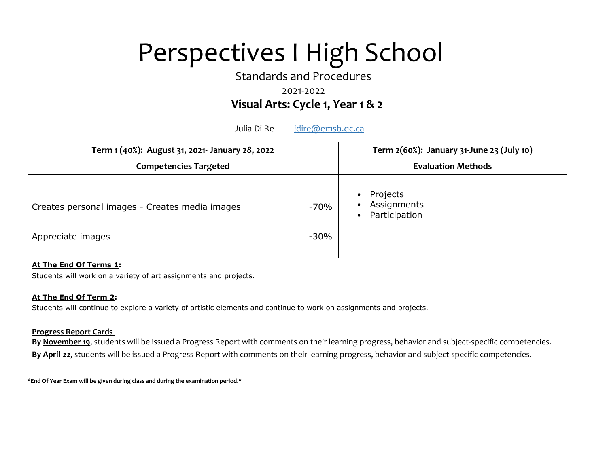Standards and Procedures

### 2021-2022

## **Visual Arts: Cycle 1, Year 1 & 2**

Julia Di Re *jdire@emsb.qc.ca* 

| Term 1 (40%): August 31, 2021- January 28, 2022                                            |                | Term 2(60%): January 31-June 23 (July 10) |
|--------------------------------------------------------------------------------------------|----------------|-------------------------------------------|
| <b>Competencies Targeted</b>                                                               |                | <b>Evaluation Methods</b>                 |
| Creates personal images - Creates media images<br>Appreciate images                        | -70%<br>$-30%$ | Projects<br>Assignments<br>Participation  |
| At The End Of Terms 1:<br>Students will work on a variety of art assignments and projects. |                |                                           |

#### **At The End Of Term 2:**

Students will continue to explore a variety of artistic elements and continue to work on assignments and projects.

### **Progress Report Cards**

**By November 19**, students will be issued a Progress Report with comments on their learning progress, behavior and subject-specific competencies. **By April 22**, students will be issued a Progress Report with comments on their learning progress, behavior and subject-specific competencies.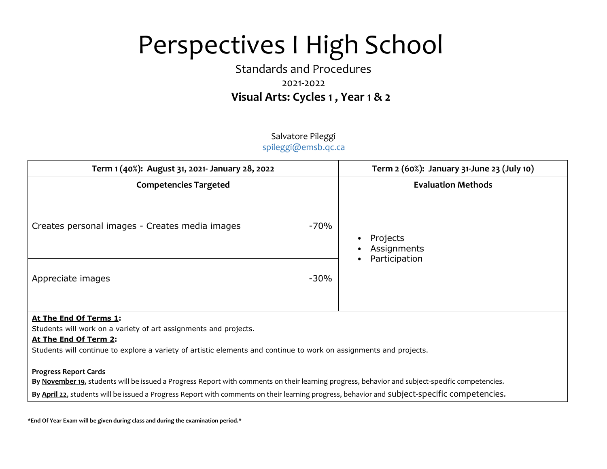# Standards and Procedures 2021-2022  **Visual Arts: Cycles 1 , Year 1 & 2**

### Salvatore Pileggi spileggi@emsb.qc.ca

| Term 1 (40%): August 31, 2021- January 28, 2022                                                                                                                                                                                           |        | Term 2 (60%): January 31-June 23 (July 10) |
|-------------------------------------------------------------------------------------------------------------------------------------------------------------------------------------------------------------------------------------------|--------|--------------------------------------------|
| <b>Competencies Targeted</b>                                                                                                                                                                                                              |        | <b>Evaluation Methods</b>                  |
| Creates personal images - Creates media images                                                                                                                                                                                            | $-70%$ | Projects<br>Assignments<br>Participation   |
| Appreciate images                                                                                                                                                                                                                         | $-30%$ |                                            |
| At The End Of Terms 1:<br>Students will work on a variety of art assignments and projects.<br>At The End Of Term 2:<br>Students will continue to explore a variety of artistic elements and continue to work on assignments and projects. |        |                                            |

#### **Progress Report Cards**

**By November 19**, students will be issued a Progress Report with comments on their learning progress, behavior and subject-specific competencies.

**By April 22**, students will be issued a Progress Report with comments on their learning progress, behavior and subject-specific competencies.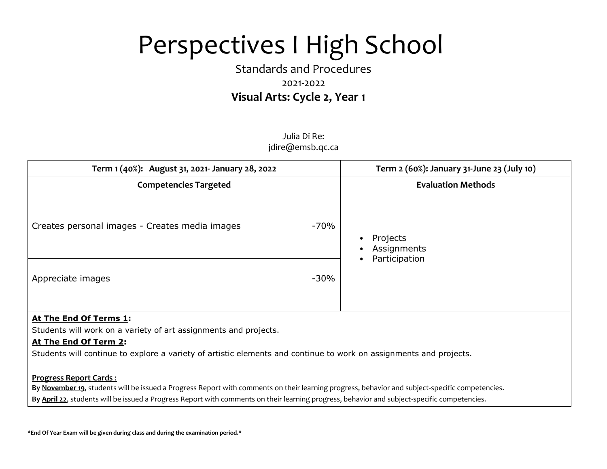# Standards and Procedures 2021-2022  **Visual Arts: Cycle 2, Year 1**

Julia Di Re: jdire@emsb.qc.ca

| Term 1 (40%): August 31, 2021- January 28, 2022 |        | Term 2 (60%): January 31-June 23 (July 10) |
|-------------------------------------------------|--------|--------------------------------------------|
| <b>Competencies Targeted</b>                    |        | <b>Evaluation Methods</b>                  |
| Creates personal images - Creates media images  | -70%   | Projects<br>Assignments<br>Participation   |
| Appreciate images                               | $-30%$ |                                            |

### **At The End Of Terms 1:**

Students will work on a variety of art assignments and projects.

### **At The End Of Term 2:**

Students will continue to explore a variety of artistic elements and continue to work on assignments and projects.

#### **Progress Report Cards** :

**By November 19**, students will be issued a Progress Report with comments on their learning progress, behavior and subject-specific competencies.

**By April 22**, students will be issued a Progress Report with comments on their learning progress, behavior and subject-specific competencies.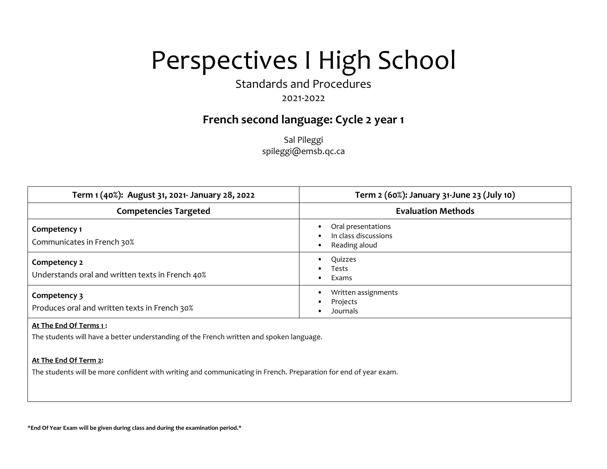Standards and Procedures

## 2021-2022

## **French second language: Cycle 2 year 1**

Sal Pileggi spileggi@emsb.qc.ca

| Term 1 (40%): August 31, 2021- January 28, 2022                  | Term 2 (60%): January 31-June 23 (July 10)                  |
|------------------------------------------------------------------|-------------------------------------------------------------|
| <b>Competencies Targeted</b>                                     | <b>Evaluation Methods</b>                                   |
| Competency 1<br>Communicates in French 30%                       | Oral presentations<br>In class discussions<br>Reading aloud |
| Competency 2<br>Understands oral and written texts in French 40% | Quizzes<br>Tests<br>Exams                                   |
| Competency 3<br>Produces oral and written texts in French 30%    | Written assignments<br>Projects<br>Journals                 |

#### **At The End Of Terms 1 :**

The students will have a better understanding of the French written and spoken language.

#### **At The End Of Term 2:**

The students will be more confident with writing and communicating in French. Preparation for end of year exam.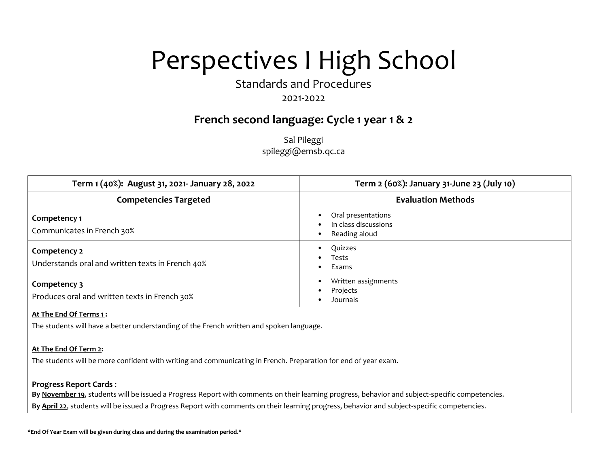Standards and Procedures

## 2021-2022

## **French second language: Cycle 1 year 1 & 2**

Sal Pileggi spileggi@emsb.qc.ca

| Term 1 (40%): August 31, 2021- January 28, 2022                  | Term 2 (60%): January 31-June 23 (July 10)                  |
|------------------------------------------------------------------|-------------------------------------------------------------|
| <b>Competencies Targeted</b>                                     | <b>Evaluation Methods</b>                                   |
| Competency 1<br>Communicates in French 30%                       | Oral presentations<br>In class discussions<br>Reading aloud |
| Competency 2<br>Understands oral and written texts in French 40% | Quizzes<br>Tests<br>Exams                                   |
| Competency 3<br>Produces oral and written texts in French 30%    | Written assignments<br>Projects<br>Journals                 |

#### **At The End Of Terms 1 :**

The students will have a better understanding of the French written and spoken language.

#### **At The End Of Term 2:**

The students will be more confident with writing and communicating in French. Preparation for end of year exam.

#### **Progress Report Cards** :

**By November 19**, students will be issued a Progress Report with comments on their learning progress, behavior and subject-specific competencies.

**By April 22**, students will be issued a Progress Report with comments on their learning progress, behavior and subject-specific competencies.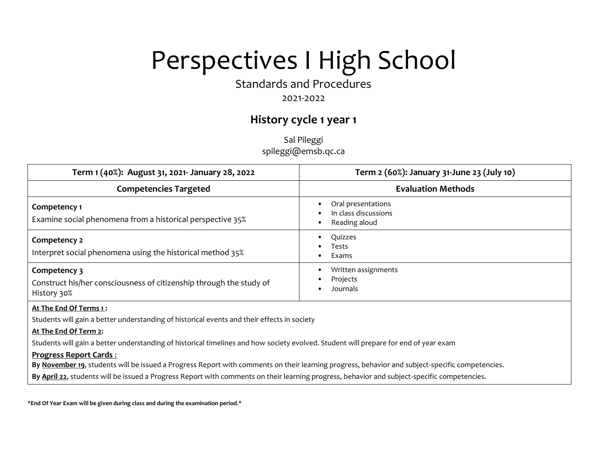Standards and Procedures

## 2021-2022

# **History cycle 1 year 1**

Sal Pileggi spileggi@emsb.qc.ca

| Term 1 (40%): August 31, 2021- January 28, 2022                                                                                                                                                                                                                                                                                                                                                                                                                                                                                                                                                                            | Term 2 (60%): January 31-June 23 (July 10)                  |  |
|----------------------------------------------------------------------------------------------------------------------------------------------------------------------------------------------------------------------------------------------------------------------------------------------------------------------------------------------------------------------------------------------------------------------------------------------------------------------------------------------------------------------------------------------------------------------------------------------------------------------------|-------------------------------------------------------------|--|
| <b>Competencies Targeted</b>                                                                                                                                                                                                                                                                                                                                                                                                                                                                                                                                                                                               | <b>Evaluation Methods</b>                                   |  |
| Competency 1<br>Examine social phenomena from a historical perspective 35%                                                                                                                                                                                                                                                                                                                                                                                                                                                                                                                                                 | Oral presentations<br>In class discussions<br>Reading aloud |  |
| Competency 2<br>Interpret social phenomena using the historical method 35%                                                                                                                                                                                                                                                                                                                                                                                                                                                                                                                                                 | Quizzes<br>Tests<br>Exams                                   |  |
| Competency 3<br>Construct his/her consciousness of citizenship through the study of<br>History 30%                                                                                                                                                                                                                                                                                                                                                                                                                                                                                                                         | Written assignments<br>Projects<br>Journals                 |  |
| At The End Of Terms 1:<br>Students will gain a better understanding of historical events and their effects in society<br>At The End Of Term 2:<br>Students will gain a better understanding of historical timelines and how society evolved. Student will prepare for end of year exam<br><b>Progress Report Cards:</b><br>By November 19, students will be issued a Progress Report with comments on their learning progress, behavior and subject-specific competencies.<br>By April 22, students will be issued a Progress Report with comments on their learning progress, behavior and subject-specific competencies. |                                                             |  |
|                                                                                                                                                                                                                                                                                                                                                                                                                                                                                                                                                                                                                            |                                                             |  |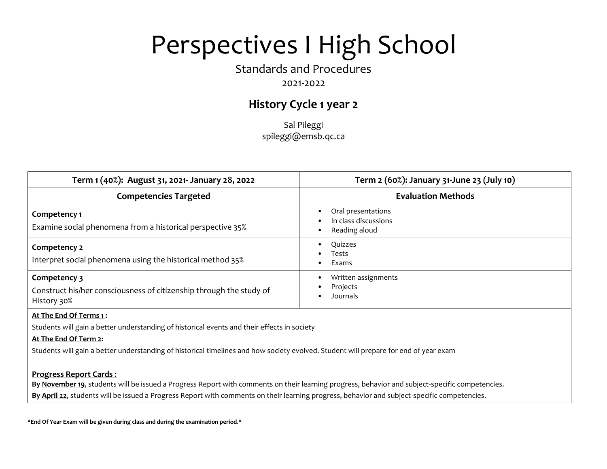## Standards and Procedures

## 2021-2022

# **History Cycle 1 year 2**

Sal Pileggi spileggi@emsb.qc.ca

| Term 1 (40%): August 31, 2021- January 28, 2022                                                                       | Term 2 (60%): January 31-June 23 (July 10)                  |
|-----------------------------------------------------------------------------------------------------------------------|-------------------------------------------------------------|
| <b>Competencies Targeted</b>                                                                                          | <b>Evaluation Methods</b>                                   |
| Competency 1<br>Examine social phenomena from a historical perspective 35%                                            | Oral presentations<br>In class discussions<br>Reading aloud |
| Competency 2<br>Interpret social phenomena using the historical method 35%                                            | Quizzes<br>Tests<br>Exams                                   |
| Competency 3<br>Construct his/her consciousness of citizenship through the study of<br>History 30%                    | Written assignments<br>Projects<br><b>Journals</b>          |
| At The End Of Terms 1:<br>Students will gain a better understanding of historical events and their effects in society |                                                             |

#### **At The End Of Term 2:**

Students will gain a better understanding of historical timelines and how society evolved. Student will prepare for end of year exam

#### **Progress Report Cards** :

**By November 19**, students will be issued a Progress Report with comments on their learning progress, behavior and subject-specific competencies.

**By April 22**, students will be issued a Progress Report with comments on their learning progress, behavior and subject-specific competencies.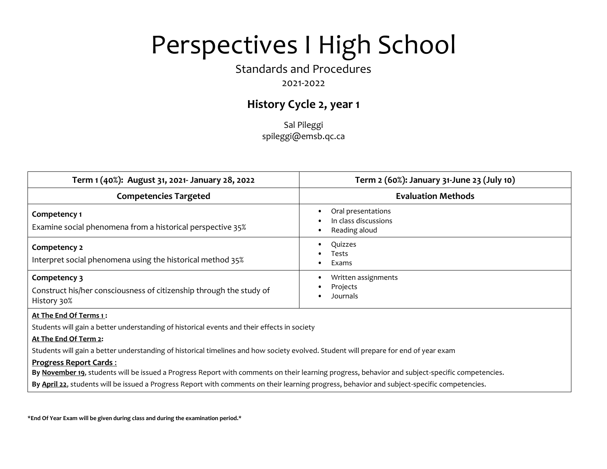## Standards and Procedures

## 2021-2022

# **History Cycle 2, year 1**

Sal Pileggi spileggi@emsb.qc.ca

| Term 1 (40%): August 31, 2021- January 28, 2022                                                                       | Term 2 (60%): January 31-June 23 (July 10)                  |
|-----------------------------------------------------------------------------------------------------------------------|-------------------------------------------------------------|
| <b>Competencies Targeted</b>                                                                                          | <b>Evaluation Methods</b>                                   |
| Competency 1<br>Examine social phenomena from a historical perspective 35%                                            | Oral presentations<br>In class discussions<br>Reading aloud |
| Competency 2<br>Interpret social phenomena using the historical method 35%                                            | Quizzes<br>Tests<br>Exams                                   |
| Competency 3<br>Construct his/her consciousness of citizenship through the study of<br>History 30%                    | Written assignments<br>Projects<br><b>Journals</b>          |
| At The End Of Terms 1:<br>Students will gain a better understanding of historical events and their effects in society |                                                             |

#### **At The End Of Term 2:**

Students will gain a better understanding of historical timelines and how society evolved. Student will prepare for end of year exam

#### **Progress Report Cards** :

**By November 19**, students will be issued a Progress Report with comments on their learning progress, behavior and subject-specific competencies.

**By April 22**, students will be issued a Progress Report with comments on their learning progress, behavior and subject-specific competencies.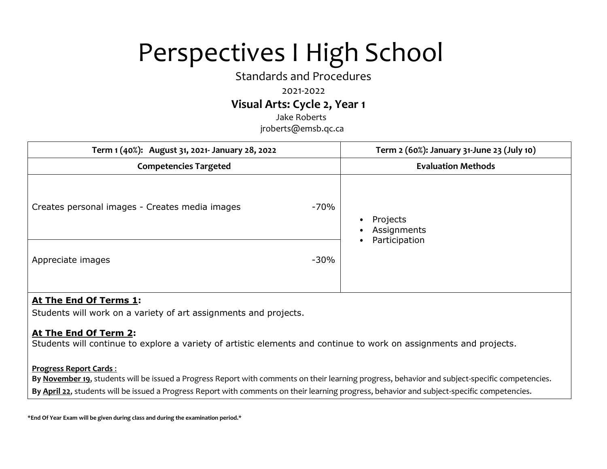Standards and Procedures

### 2021-2022

## **Visual Arts: Cycle 2, Year 1**

Jake Roberts jroberts@emsb.qc.ca

| Term 1 (40%): August 31, 2021- January 28, 2022 |        | Term 2 (60%): January 31-June 23 (July 10) |
|-------------------------------------------------|--------|--------------------------------------------|
| <b>Competencies Targeted</b>                    |        | <b>Evaluation Methods</b>                  |
| Creates personal images - Creates media images  | -70%   | Projects<br>Assignments<br>Participation   |
| Appreciate images                               | $-30%$ |                                            |

## **At The End Of Terms 1:**

Students will work on a variety of art assignments and projects.

## **At The End Of Term 2:**

Students will continue to explore a variety of artistic elements and continue to work on assignments and projects.

### **Progress Report Cards** :

**By November 19**, students will be issued a Progress Report with comments on their learning progress, behavior and subject-specific competencies. **By April 22**, students will be issued a Progress Report with comments on their learning progress, behavior and subject-specific competencies.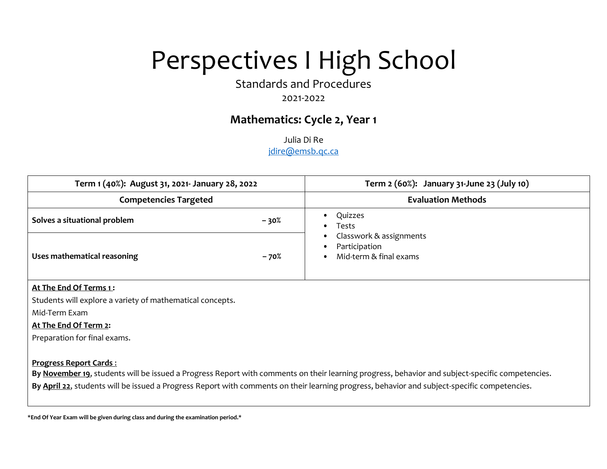Standards and Procedures

## 2021-2022

## **Mathematics: Cycle 2, Year 1**

Julia Di Re

jdire@emsb.qc.ca

| Term 1 (40%): August 31, 2021- January 28, 2022 |        | Term 2 (60%): January 31-June 23 (July 10)                                                |  |
|-------------------------------------------------|--------|-------------------------------------------------------------------------------------------|--|
| <b>Competencies Targeted</b>                    |        | <b>Evaluation Methods</b>                                                                 |  |
| Solves a situational problem                    | $-30%$ | Quizzes<br>Tests<br>٠                                                                     |  |
| Uses mathematical reasoning                     | $-70%$ | Classwork & assignments<br>٠<br>Participation<br>٠<br>Mid-term & final exams<br>$\bullet$ |  |

#### **At The End Of Terms 1 :**

Students will explore a variety of mathematical concepts.

Mid-Term Exam

#### **At The End Of Term 2:**

Preparation for final exams.

#### **Progress Report Cards** :

**By November 19**, students will be issued a Progress Report with comments on their learning progress, behavior and subject-specific competencies.

**By April 22**, students will be issued a Progress Report with comments on their learning progress, behavior and subject-specific competencies.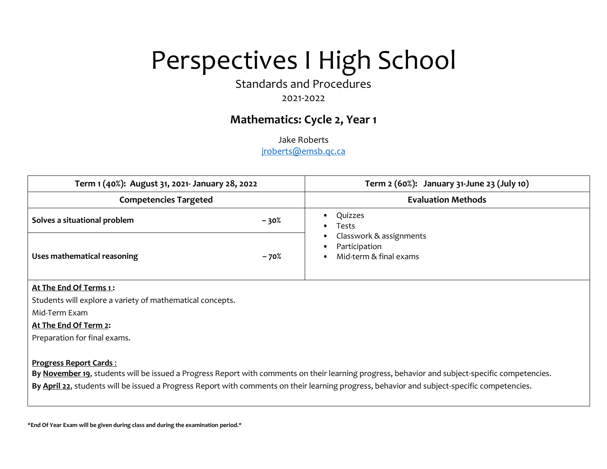Standards and Procedures

## 2021-2022

## **Mathematics: Cycle 2, Year 1**

Jake Roberts

jroberts@emsb.qc.ca

| Term 1 (40%): August 31, 2021- January 28, 2022 |        | Term 2 (60%): January 31-June 23 (July 10)                                                                |  |
|-------------------------------------------------|--------|-----------------------------------------------------------------------------------------------------------|--|
| <b>Competencies Targeted</b>                    |        | <b>Evaluation Methods</b>                                                                                 |  |
| Solves a situational problem                    | $-30%$ | Quizzes<br>Tests                                                                                          |  |
| Uses mathematical reasoning                     | $-70%$ | Classwork & assignments<br>$\bullet$<br>Participation<br>$\bullet$<br>Mid-term & final exams<br>$\bullet$ |  |

#### **At The End Of Terms 1 :**

Students will explore a variety of mathematical concepts.

Mid-Term Exam

### **At The End Of Term 2:**

Preparation for final exams.

#### **Progress Report Cards** :

**By November 19**, students will be issued a Progress Report with comments on their learning progress, behavior and subject-specific competencies.

**By April 22**, students will be issued a Progress Report with comments on their learning progress, behavior and subject-specific competencies.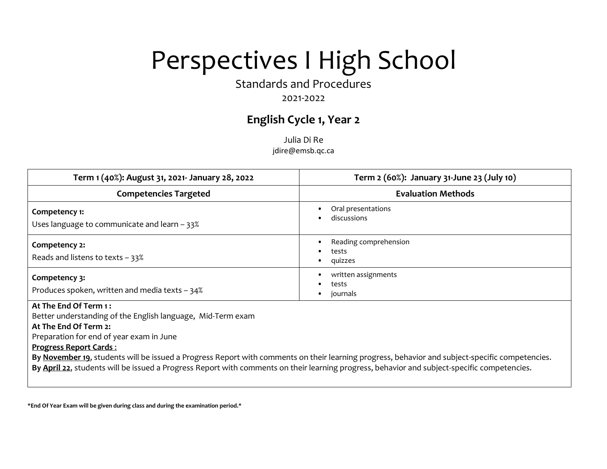Standards and Procedures

## 2021-2022

# **English Cycle 1, Year 2**

Julia Di Re jdire@emsb.qc.ca

| Term 1 (40%): August 31, 2021- January 28, 2022                                                                                                                                            | Term 2 (60%): January 31-June 23 (July 10)                                                                                                      |
|--------------------------------------------------------------------------------------------------------------------------------------------------------------------------------------------|-------------------------------------------------------------------------------------------------------------------------------------------------|
| <b>Competencies Targeted</b>                                                                                                                                                               | <b>Evaluation Methods</b>                                                                                                                       |
| Competency 1:<br>Uses language to communicate and learn $-33\%$                                                                                                                            | Oral presentations<br>discussions                                                                                                               |
| Competency 2:<br>Reads and listens to texts $-33\%$                                                                                                                                        | Reading comprehension<br>tests<br>quizzes                                                                                                       |
| Competency 3:<br>Produces spoken, written and media texts $-34%$                                                                                                                           | written assignments<br>tests<br>journals                                                                                                        |
| At The End Of Term 1:<br>Better understanding of the English language, Mid-Term exam<br>At The End Of Term 2:<br>Preparation for end of year exam in June<br><b>Progress Report Cards:</b> | By November 19, students will be issued a Progress Report with comments on their learning progress, behavior and subject-specific competencies. |
| By April 22, students will be issued a Progress Report with comments on their learning progress, behavior and subject-specific competencies.                                               |                                                                                                                                                 |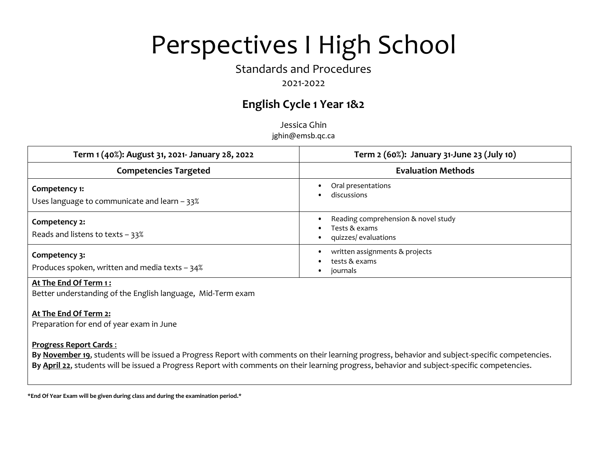## Standards and Procedures

## 2021-2022

# **English Cycle 1 Year 1&2**

Jessica Ghin jghin@emsb.qc.ca

| Term 1 (40%): August 31, 2021- January 28, 2022                   | Term 2 (60%): January 31-June 23 (July 10)                                   |
|-------------------------------------------------------------------|------------------------------------------------------------------------------|
| <b>Competencies Targeted</b>                                      | <b>Evaluation Methods</b>                                                    |
| Competency 1:<br>Uses language to communicate and learn - 33%     | Oral presentations<br>discussions                                            |
| Competency 2:<br>Reads and listens to texts $-33\%$               | Reading comprehension & novel study<br>Tests & exams<br>quizzes/ evaluations |
| Competency 3:<br>Produces spoken, written and media texts $-34\%$ | written assignments & projects<br>tests & exams<br>journals                  |

#### **At The End Of Term 1 :**

Better understanding of the English language, Mid-Term exam

### **At The End Of Term 2:**

Preparation for end of year exam in June

#### **Progress Report Cards** :

**By November 19**, students will be issued a Progress Report with comments on their learning progress, behavior and subject-specific competencies. **By April 22**, students will be issued a Progress Report with comments on their learning progress, behavior and subject-specific competencies.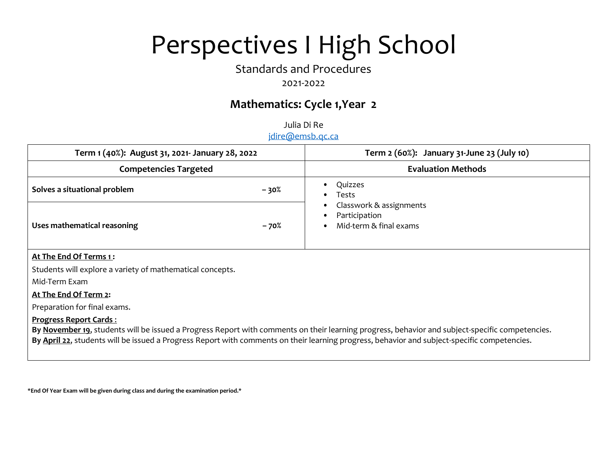## Standards and Procedures

## 2021-2022

# **Mathematics: Cycle 1,Year 2**

Julia Di Re jdire@emsb.qc.ca

| Term 1 (40%): August 31, 2021- January 28, 2022 |        | Term 2 (60%): January 31-June 23 (July 10)                                                        |
|-------------------------------------------------|--------|---------------------------------------------------------------------------------------------------|
| <b>Competencies Targeted</b>                    |        | <b>Evaluation Methods</b>                                                                         |
| Solves a situational problem                    | $-30%$ | Quizzes<br>٠<br>Tests<br>٠                                                                        |
| Uses mathematical reasoning                     | - 70%  | Classwork & assignments<br>٠<br>Participation<br>$\bullet$<br>Mid-term & final exams<br>$\bullet$ |

### **At The End Of Terms 1 :**

Students will explore a variety of mathematical concepts.

Mid-Term Exam

### **At The End Of Term 2:**

Preparation for final exams.

### **Progress Report Cards** :

**By November 19**, students will be issued a Progress Report with comments on their learning progress, behavior and subject-specific competencies. **By April 22**, students will be issued a Progress Report with comments on their learning progress, behavior and subject-specific competencies.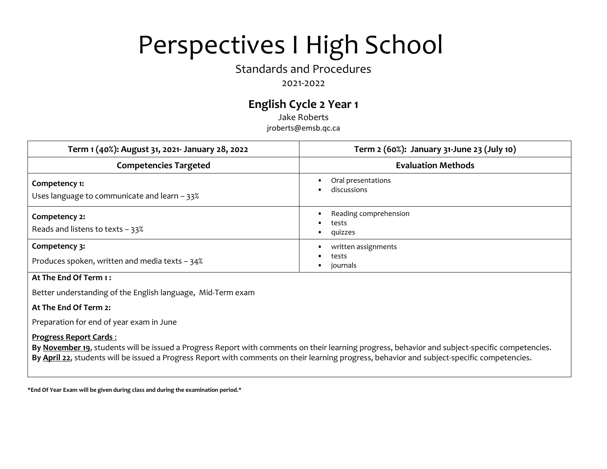## Standards and Procedures

### 2021-2022

# **English Cycle 2 Year 1**

Jake Roberts jroberts@emsb.qc.ca

| Term 1 (40%): August 31, 2021- January 28, 2022                 | Term 2 (60%): January 31-June 23 (July 10) |
|-----------------------------------------------------------------|--------------------------------------------|
| <b>Competencies Targeted</b>                                    | <b>Evaluation Methods</b>                  |
| Competency 1:<br>Uses language to communicate and learn $-33\%$ | Oral presentations<br>discussions          |
| Competency 2:<br>Reads and listens to texts $-33\%$             | Reading comprehension<br>tests<br>quizzes  |
| Competency 3:<br>Produces spoken, written and media texts - 34% | written assignments<br>tests<br>journals   |

### **At The End Of Term 1 :**

Better understanding of the English language, Mid-Term exam

### **At The End Of Term 2:**

Preparation for end of year exam in June

### **Progress Report Cards** :

**By November 19**, students will be issued a Progress Report with comments on their learning progress, behavior and subject-specific competencies. **By April 22**, students will be issued a Progress Report with comments on their learning progress, behavior and subject-specific competencies.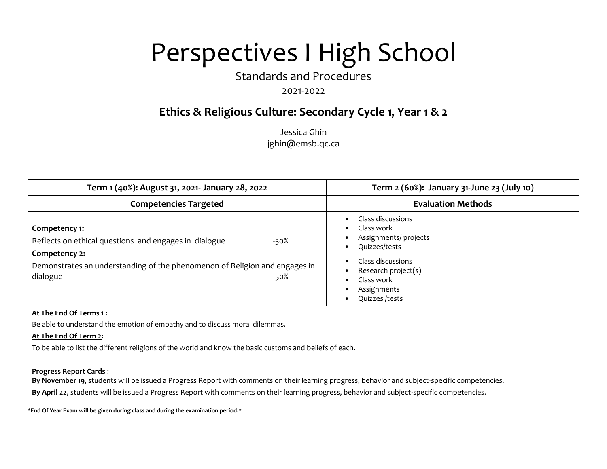Standards and Procedures

### 2021-2022

# **Ethics & Religious Culture: Secondary Cycle 1, Year 1 & 2**

Jessica Ghin jghin@emsb.qc.ca

| Term 1 (40%): August 31, 2021- January 28, 2022                                                                  | Term 2 (60%): January 31-June 23 (July 10)                                               |
|------------------------------------------------------------------------------------------------------------------|------------------------------------------------------------------------------------------|
| <b>Competencies Targeted</b>                                                                                     | <b>Evaluation Methods</b>                                                                |
| Competency 1:<br>Reflects on ethical questions and engages in dialogue<br>-50%                                   | Class discussions<br>Class work<br>Assignments/ projects<br>Quizzes/tests                |
| Competency 2:<br>Demonstrates an understanding of the phenomenon of Religion and engages in<br>dialogue<br>- 50% | Class discussions<br>Research project(s)<br>Class work<br>Assignments<br>Quizzes / tests |

#### **At The End Of Terms 1 :**

Be able to understand the emotion of empathy and to discuss moral dilemmas.

#### **At The End Of Term 2:**

To be able to list the different religions of the world and know the basic customs and beliefs of each.

#### **Progress Report Cards** :

**By November 19**, students will be issued a Progress Report with comments on their learning progress, behavior and subject-specific competencies.

**By April 22**, students will be issued a Progress Report with comments on their learning progress, behavior and subject-specific competencies.